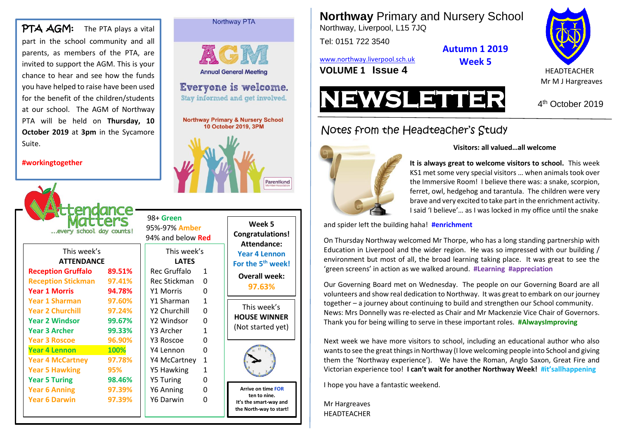PTA AGM: The PTA plays a vital part in the school community and all parents, as members of the PTA, are invited to support the AGM. This is your chance to hear and see how the funds you have helped to raise have been used for the benefit of the children/students at our school. The AGM of Northway PTA will be held on **Thursday, 10 October 2019** at **3pm** in the Sycamore Suite.

#### **#workingtogether**

| ters<br>every school day counts! | 98+ Green<br>95%-97% Amber<br>94% and below <b>Red</b> |                             |              |  |  |  |  |
|----------------------------------|--------------------------------------------------------|-----------------------------|--------------|--|--|--|--|
| This week's<br><b>ATTENDANCE</b> |                                                        | This week's<br><b>LATES</b> |              |  |  |  |  |
| <b>Reception Gruffalo</b>        | 89.51%                                                 | Rec Gruffalo                | 1            |  |  |  |  |
| <b>Reception Stickman</b>        | 97.41%                                                 | Rec Stickman                | O            |  |  |  |  |
| <b>Year 1 Morris</b>             | 94.78%                                                 | Y1 Morris                   | O            |  |  |  |  |
| Year 1 Sharman                   | 97.60%                                                 | Y1 Sharman                  | 1            |  |  |  |  |
| <b>Year 2 Churchill</b>          | 97.24%                                                 | Y2 Churchill                | O            |  |  |  |  |
| <b>Year 2 Windsor</b>            | 99.67%                                                 | Y2 Windsor                  | 0            |  |  |  |  |
| <b>Year 3 Archer</b>             | 99.33%                                                 | Y3 Archer                   | 1            |  |  |  |  |
| <b>Year 3 Roscoe</b>             | 96.90%                                                 | Y3 Roscoe                   | O            |  |  |  |  |
| <b>Year 4 Lennon</b>             | 100%                                                   | Y4 Lennon                   | 0            |  |  |  |  |
| <b>Year 4 McCartney</b>          | 97.78%                                                 | Y4 McCartney                | $\mathbf{1}$ |  |  |  |  |
| <b>Year 5 Hawking</b>            | 95%                                                    | Y5 Hawking                  | 1            |  |  |  |  |
| <b>Year 5 Turing</b>             | 98.46%                                                 | <b>Y5 Turing</b>            | ŋ            |  |  |  |  |
| <b>Year 6 Anning</b>             | 97.39%                                                 | Y6 Anning                   | 0            |  |  |  |  |
| <b>Year 6 Darwin</b>             | 97.39%                                                 | Y6 Darwin                   | O            |  |  |  |  |
|                                  |                                                        |                             |              |  |  |  |  |

| е<br>ır<br>ls                                |                      | <b>Annual General Meeting</b> |                                              |            |  |
|----------------------------------------------|----------------------|-------------------------------|----------------------------------------------|------------|--|
| d                                            | Everyone is welcome. |                               |                                              |            |  |
| :s                                           |                      |                               | Stay informed and get involved.              |            |  |
| у                                            |                      |                               |                                              |            |  |
| 0                                            |                      |                               | <b>Northway Primary &amp; Nursery School</b> |            |  |
| e                                            |                      |                               | 10 October 2019, 3PM                         |            |  |
|                                              |                      |                               |                                              | Parentkino |  |
| 88+ Green                                    |                      |                               |                                              |            |  |
|                                              | 5%-97% Amber         |                               | Week 5                                       |            |  |
|                                              | 4% and below Red     |                               | <b>Congratulations</b><br>Attendance:        |            |  |
|                                              | This week's          |                               | <b>Year 4 Lennon</b>                         |            |  |
|                                              | <b>LATES</b>         |                               | For the 5 <sup>th</sup> week                 |            |  |
| <b>Rec Gruffalo</b>                          |                      | 1                             | <b>Overall week:</b>                         |            |  |
|                                              | <b>Rec Stickman</b>  | 0                             | 97.63%                                       |            |  |
| Y1 Morris                                    |                      | 0<br>$\mathbf{1}$             |                                              |            |  |
| Y1 Sharman<br>Y2 Churchill<br>$\overline{0}$ |                      |                               | This week's                                  |            |  |
| Y2 Windsor                                   |                      | 0                             | <b>HOUSE WINNER</b>                          |            |  |
| Y3 Archer                                    |                      | $\mathbf{1}$                  | (Not started yet)                            |            |  |
| Y3 Roscoe                                    |                      | 0                             |                                              |            |  |
| Y4 Lennon                                    |                      | 0                             |                                              |            |  |
| Y4 McCartney                                 |                      | 1                             |                                              |            |  |
| Y5 Hawking                                   |                      | 1                             |                                              |            |  |
| <b>Y5 Turing</b><br>0<br>Y6 Anning<br>0      |                      |                               | <b>Arrive on time FOR</b>                    |            |  |
|                                              |                      |                               | ton to nino                                  |            |  |

Northway PTA

Parentkind



**Arrive on time FOR ten to nine. It's the smart-way and the North-way to start!** **Northway** Primary and Nursery School

Northway, Liverpool, L15 7JQ

Tel: 0151 722 3540

[www.northway.liverpool.sch.uk](http://www.northway.liverpool.sch.uk/)

**Autumn 1 2019 Week 5**

**VOLUME 1 ISSUE 4** HEADTEACHER





4<sup>th</sup> October 2019

# Notes from the Headteacher's Study



#### **Visitors: all valued…all welcome**

**It is always great to welcome visitors to school.** This week KS1 met some very special visitors … when animals took over the Immersive Room! I believe there was: a snake, scorpion, ferret, owl, hedgehog and tarantula. The children were very brave and very excited to take part in the enrichment activity. I said 'I believe'… as I was locked in my office until the snake

and spider left the building haha! **#enrichment**

On Thursday Northway welcomed Mr Thorpe, who has a long standing partnership with Education in Liverpool and the wider region. He was so impressed with our building / environment but most of all, the broad learning taking place. It was great to see the 'green screens' in action as we walked around. **#Learning #appreciation**

Our Governing Board met on Wednesday. The people on our Governing Board are all volunteers and show real dedication to Northway. It was great to embark on our journey together – a journey about continuing to build and strengthen our School community. News: Mrs Donnelly was re-elected as Chair and Mr Mackenzie Vice Chair of Governors. Thank you for being willing to serve in these important roles. **#AlwaysImproving** 

Next week we have more visitors to school, including an educational author who also wants to see the great things in Northway (I love welcoming people into School and giving them the 'Northway experience'). We have the Roman, Anglo Saxon, Great Fire and Victorian experience too! **I can't wait for another Northway Week! #it'sallhappening**

I hope you have a fantastic weekend.

Mr Hargreaves HEADTEACHER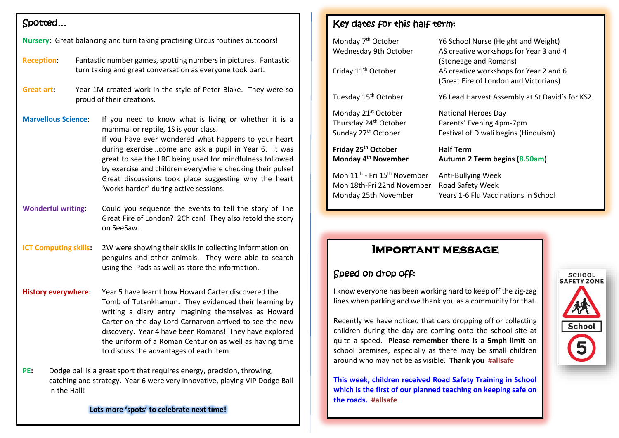#### Spotted…

| Nursery: Great balancing and turn taking practising Circus routines outdoors!                                                                                               |  |                                                                                                                                                                                                                                                                                                                                                                                                                                            |
|-----------------------------------------------------------------------------------------------------------------------------------------------------------------------------|--|--------------------------------------------------------------------------------------------------------------------------------------------------------------------------------------------------------------------------------------------------------------------------------------------------------------------------------------------------------------------------------------------------------------------------------------------|
|                                                                                                                                                                             |  |                                                                                                                                                                                                                                                                                                                                                                                                                                            |
| <b>Reception:</b><br>Fantastic number games, spotting numbers in pictures. Fantastic<br>turn taking and great conversation as everyone took part.                           |  |                                                                                                                                                                                                                                                                                                                                                                                                                                            |
| Great art:<br>Year 1M created work in the style of Peter Blake. They were so<br>proud of their creations.                                                                   |  |                                                                                                                                                                                                                                                                                                                                                                                                                                            |
| <b>Marvellous Science:</b>                                                                                                                                                  |  | If you need to know what is living or whether it is a<br>mammal or reptile, 1S is your class.<br>If you have ever wondered what happens to your heart<br>during exercisecome and ask a pupil in Year 6. It was<br>great to see the LRC being used for mindfulness followed<br>by exercise and children everywhere checking their pulse!<br>Great discussions took place suggesting why the heart<br>'works harder' during active sessions. |
| <b>Wonderful writing:</b>                                                                                                                                                   |  | Could you sequence the events to tell the story of The<br>Great Fire of London? 2Ch can! They also retold the story<br>on SeeSaw.                                                                                                                                                                                                                                                                                                          |
| <b>ICT Computing skills:</b>                                                                                                                                                |  | 2W were showing their skills in collecting information on<br>penguins and other animals. They were able to search<br>using the IPads as well as store the information.                                                                                                                                                                                                                                                                     |
| <b>History everywhere:</b>                                                                                                                                                  |  | Year 5 have learnt how Howard Carter discovered the<br>Tomb of Tutankhamun. They evidenced their learning by<br>writing a diary entry imagining themselves as Howard<br>Carter on the day Lord Carnarvon arrived to see the new<br>discovery. Year 4 have been Romans! They have explored<br>the uniform of a Roman Centurion as well as having time<br>to discuss the advantages of each item.                                            |
| PE:<br>Dodge ball is a great sport that requires energy, precision, throwing,<br>catching and strategy. Year 6 were very innovative, playing VIP Dodge Ball<br>in the Hall! |  |                                                                                                                                                                                                                                                                                                                                                                                                                                            |

#### **Lots more 'spots' to celebrate next time!**

### Key dates for this half term:

| Monday 7 <sup>th</sup> October<br>Wednesday 9th October<br>Friday 11 <sup>th</sup> October | Y6 School Nurse (Height and Weight)<br>AS creative workshops for Year 3 and 4<br>(Stoneage and Romans)<br>AS creative workshops for Year 2 and 6<br>(Great Fire of London and Victorians) |
|--------------------------------------------------------------------------------------------|-------------------------------------------------------------------------------------------------------------------------------------------------------------------------------------------|
| Tuesday 15 <sup>th</sup> October                                                           | Y6 Lead Harvest Assembly at St David's for KS2                                                                                                                                            |
| Monday 21 <sup>st</sup> October                                                            | National Heroes Day                                                                                                                                                                       |
| Thursday 24 <sup>th</sup> October                                                          | Parents' Evening 4pm-7pm                                                                                                                                                                  |
| Sunday 27th October                                                                        | Festival of Diwali begins (Hinduism)                                                                                                                                                      |
| Friday 25 <sup>th</sup> October                                                            | <b>Half Term</b>                                                                                                                                                                          |
| Monday 4 <sup>th</sup> November                                                            | Autumn 2 Term begins (8.50am)                                                                                                                                                             |
| Mon 11 <sup>th</sup> - Fri 15 <sup>th</sup> November                                       | Anti-Bullying Week                                                                                                                                                                        |
| Mon 18th-Fri 22nd November                                                                 | Road Safety Week                                                                                                                                                                          |
| Monday 25th November                                                                       | Years 1-6 Flu Vaccinations in School                                                                                                                                                      |
|                                                                                            |                                                                                                                                                                                           |

## **Important message**

### Speed on drop off:

I know everyone has been working hard to keep off the zig-zag lines when parking and we thank you as a community for that.

Recently we have noticed that cars dropping off or collecting children during the day are coming onto the school site at quite a speed. **Please remember there is a 5mph limit** on school premises, especially as there may be small children around who may not be as visible. **Thank you #allsafe**

**This week, children received Road Safety Training in School which is the first of our planned teaching on keeping safe on the roads. #allsafe**